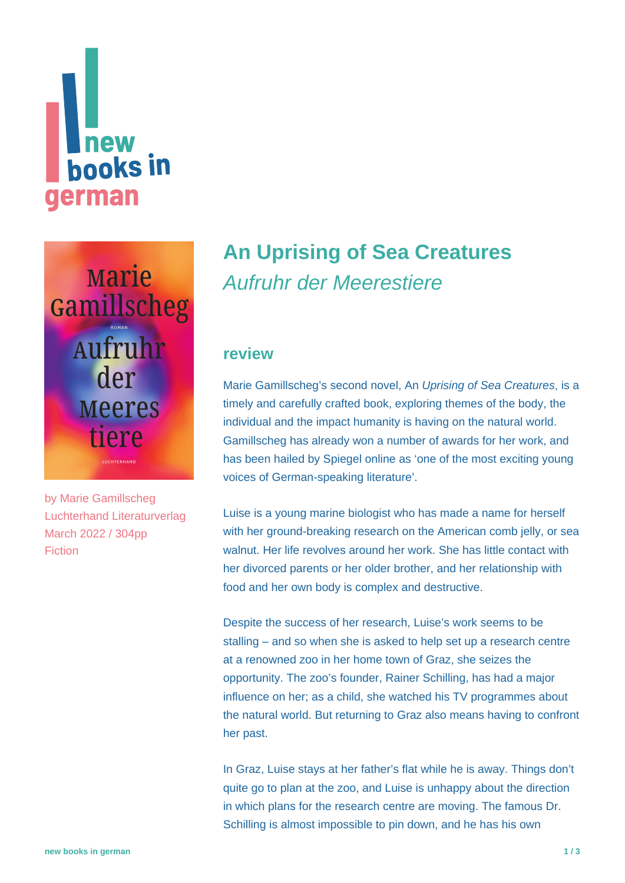# new **hooks in** german

**Marie** Gamillscheg Aufruhr der **Meeres** tiere  $\frac{1}{2}$ 

by [Marie Gamillscheg](https://www.new-books-in-german.com/recommendations/?searchInput=Marie%20Gamillscheg) Luchterhand Literaturverlag March 2022 / 304pp Fiction

# **[An Uprising of Sea Creatures](https://www.new-books-in-german.com/recommendations/uprising-of-the-sea-creatures/)** Aufruhr der Meerestiere

### **review**

Marie Gamillscheg's second novel, An Uprising of Sea Creatures, is a timely and carefully crafted book, exploring themes of the body, the individual and the impact humanity is having on the natural world. Gamillscheg has already won a number of awards for her work, and has been hailed by Spiegel online as 'one of the most exciting young voices of German-speaking literature'.

Luise is a young marine biologist who has made a name for herself with her ground-breaking research on the American comb jelly, or sea walnut. Her life revolves around her work. She has little contact with her divorced parents or her older brother, and her relationship with food and her own body is complex and destructive.

Despite the success of her research, Luise's work seems to be stalling – and so when she is asked to help set up a research centre at a renowned zoo in her home town of Graz, she seizes the opportunity. The zoo's founder, Rainer Schilling, has had a major influence on her; as a child, she watched his TV programmes about the natural world. But returning to Graz also means having to confront her past.

In Graz, Luise stays at her father's flat while he is away. Things don't quite go to plan at the zoo, and Luise is unhappy about the direction in which plans for the research centre are moving. The famous Dr. Schilling is almost impossible to pin down, and he has his own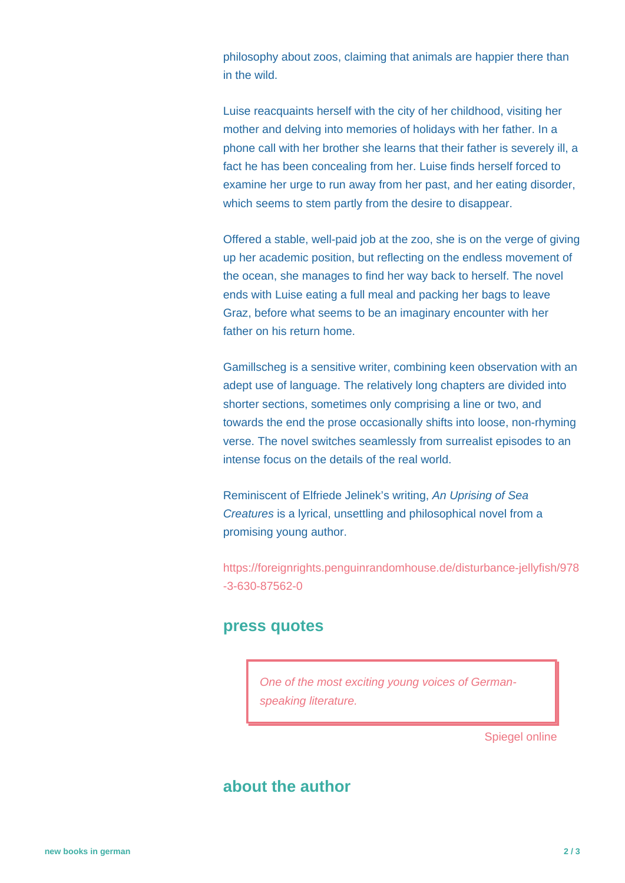philosophy about zoos, claiming that animals are happier there than in the wild.

Luise reacquaints herself with the city of her childhood, visiting her mother and delving into memories of holidays with her father. In a phone call with her brother she learns that their father is severely ill, a fact he has been concealing from her. Luise finds herself forced to examine her urge to run away from her past, and her eating disorder, which seems to stem partly from the desire to disappear.

Offered a stable, well-paid job at the zoo, she is on the verge of giving up her academic position, but reflecting on the endless movement of the ocean, she manages to find her way back to herself. The novel ends with Luise eating a full meal and packing her bags to leave Graz, before what seems to be an imaginary encounter with her father on his return home.

Gamillscheg is a sensitive writer, combining keen observation with an adept use of language. The relatively long chapters are divided into shorter sections, sometimes only comprising a line or two, and towards the end the prose occasionally shifts into loose, non-rhyming verse. The novel switches seamlessly from surrealist episodes to an intense focus on the details of the real world.

Reminiscent of Elfriede Jelinek's writing, An Uprising of Sea Creatures is a lyrical, unsettling and philosophical novel from a promising young author.

[https://foreignrights.penguinrandomhouse.de/disturbance-jellyfish/978](https://foreignrights.penguinrandomhouse.de/disturbance-jellyfish/978-3-630-87562-0) [-3-630-87562-0](https://foreignrights.penguinrandomhouse.de/disturbance-jellyfish/978-3-630-87562-0)

#### **press quotes**

One of the most exciting young voices of Germanspeaking literature.

Spiegel online

## **about the author**